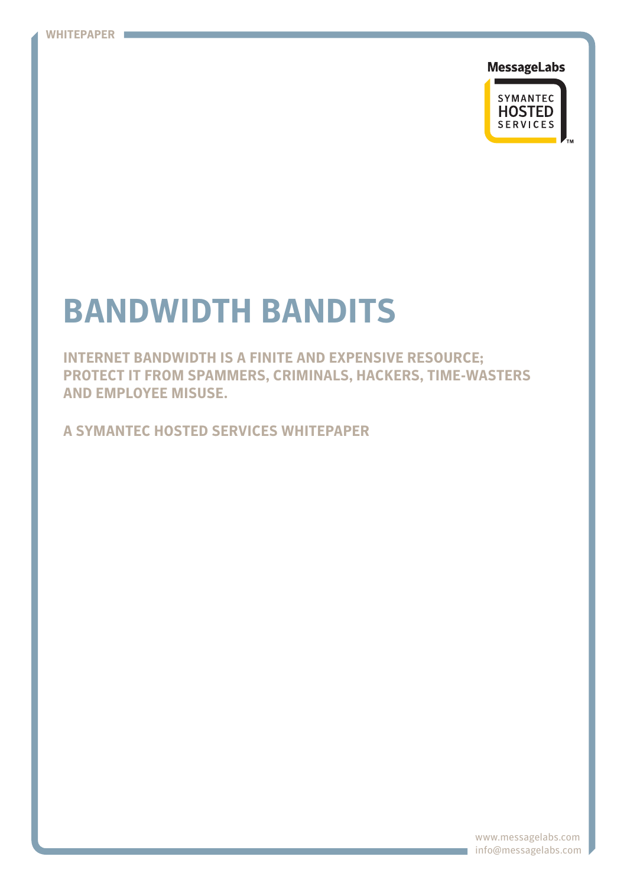**MessageLabs** 



# **Bandwidth bandits**

**Internet bandwidth is a finite and expensive resource; protect it from spammers, criminals, hackers, time-wasters and employee misuse.**

**A symantec hosted services whitepaper**

www.messagelabs.com info@messagelabs.com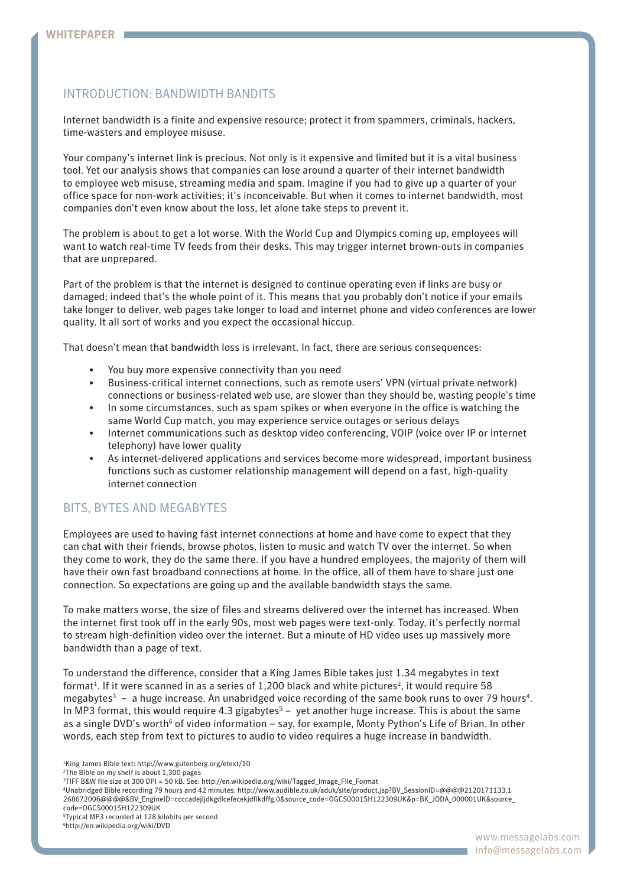# introduction: Bandwidth bandits

Internet bandwidth is a finite and expensive resource; protect it from spammers, criminals, hackers, time-wasters and employee misuse.

Your company's internet link is precious. Not only is it expensive and limited but it is a vital business tool. Yet our analysis shows that companies can lose around a quarter of their internet bandwidth to employee web misuse, streaming media and spam. Imagine if you had to give up a quarter of your office space for non-work activities; it's inconceivable. But when it comes to internet bandwidth, most companies don't even know about the loss, let alone take steps to prevent it.

The problem is about to get a lot worse. With the World Cup and Olympics coming up, employees will want to watch real-time TV feeds from their desks. This may trigger internet brown-outs in companies that are unprepared.

Part of the problem is that the internet is designed to continue operating even if links are busy or damaged; indeed that's the whole point of it. This means that you probably don't notice if your emails take longer to deliver, web pages take longer to load and internet phone and video conferences are lower quality. It all sort of works and you expect the occasional hiccup.

That doesn't mean that bandwidth loss is irrelevant. In fact, there are serious consequences:

- You buy more expensive connectivity than you need
- Business-critical internet connections, such as remote users' VPN (virtual private network) connections or business-related web use, are slower than they should be, wasting people's time
- In some circumstances, such as spam spikes or when everyone in the office is watching the same World Cup match, you may experience service outages or serious delays
- Internet communications such as desktop video conferencing, VOIP (voice over IP or internet telephony) have lower quality
- As internet-delivered applications and services become more widespread, important business functions such as customer relationship management will depend on a fast, high-quality internet connection

# Bits, bytes and megabytes

Employees are used to having fast internet connections at home and have come to expect that they can chat with their friends, browse photos, listen to music and watch TV over the internet. So when they come to work, they do the same there. If you have a hundred employees, the majority of them will have their own fast broadband connections at home. In the office, all of them have to share just one connection. So expectations are going up and the available bandwidth stays the same.

To make matters worse, the size of files and streams delivered over the internet has increased. When the internet first took off in the early 90s, most web pages were text-only. Today, it's perfectly normal to stream high-definition video over the internet. But a minute of HD video uses up massively more bandwidth than a page of text.

To understand the difference, consider that a King James Bible takes just 1.34 megabytes in text format<sup>1</sup>. If it were scanned in as a series of 1,200 black and white pictures<sup>2</sup>, it would require 58 megabytes $3 - a$  huge increase. An unabridged voice recording of the same book runs to over 79 hours<sup>4</sup>. In MP3 format, this would require 4.3 gigabytes<sup>5</sup> – yet another huge increase. This is about the same as a single DVD's worth<sup>6</sup> of video information – say, for example, Monty Python's Life of Brian. In other words, each step from text to pictures to audio to video requires a huge increase in bandwidth.

4 Unabridged Bible recording 79 hours and 42 minutes: http://www.audible.co.uk/aduk/site/product.jsp?BV\_SessionID=@@@@2120171133.1 268672006@@@@&BV\_EngineID=ccccadejljdkgdlcefecekjdfikdffg.0&source\_code=OGCS0001SH122309UK&p=BK\_JODA\_000001UK&source\_ code=OGCS0001SH122309UK

<sup>1</sup> King James Bible text: http://www.gutenberg.org/etext/10

<sup>&</sup>lt;sup>2</sup>The Bible on my shelf is about 1,300 pages

<sup>3</sup> TIFF B&W file size at 300 DPI = 50 kB. See: http://en.wikipedia.org/wiki/Tagged\_Image\_File\_Format

<sup>5</sup> Typical MP3 recorded at 128 kilobits per second

<sup>6</sup> http://en.wikipedia.org/wiki/DVD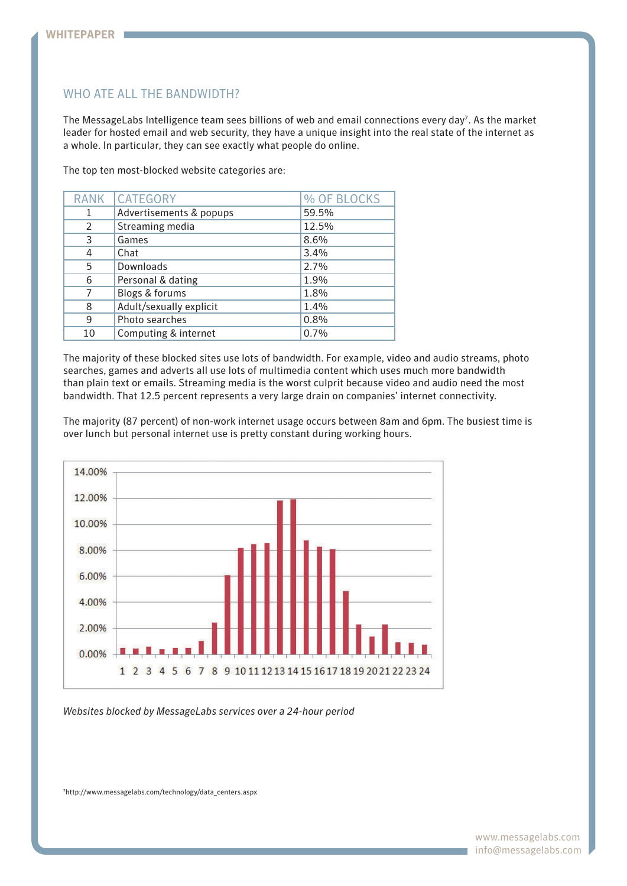# WHO ATE ALL THE BANDWIDTH?

The MessageLabs Intelligence team sees billions of web and email connections every day<sup>7</sup>. As the market leader for hosted email and web security, they have a unique insight into the real state of the internet as a whole. In particular, they can see exactly what people do online.

The top ten most-blocked website categories are:

| <b>RANK</b>    | <b>CATEGORY</b>         | % OF BLOCKS |
|----------------|-------------------------|-------------|
| 1              | Advertisements & popups | 59.5%       |
| $\overline{2}$ | Streaming media         | 12.5%       |
| 3              | Games                   | 8.6%        |
| 4              | Chat                    | 3.4%        |
| 5              | Downloads               | 2.7%        |
| 6              | Personal & dating       | 1.9%        |
|                | Blogs & forums          | 1.8%        |
| 8              | Adult/sexually explicit | 1.4%        |
| 9              | Photo searches          | 0.8%        |
| 10             | Computing & internet    | 0.7%        |

The majority of these blocked sites use lots of bandwidth. For example, video and audio streams, photo searches, games and adverts all use lots of multimedia content which uses much more bandwidth than plain text or emails. Streaming media is the worst culprit because video and audio need the most bandwidth. That 12.5 percent represents a very large drain on companies' internet connectivity.

The majority (87 percent) of non-work internet usage occurs between 8am and 6pm. The busiest time is over lunch but personal internet use is pretty constant during working hours.



*Websites blocked by MessageLabs services over a 24-hour period*

7 http://www.messagelabs.com/technology/data\_centers.aspx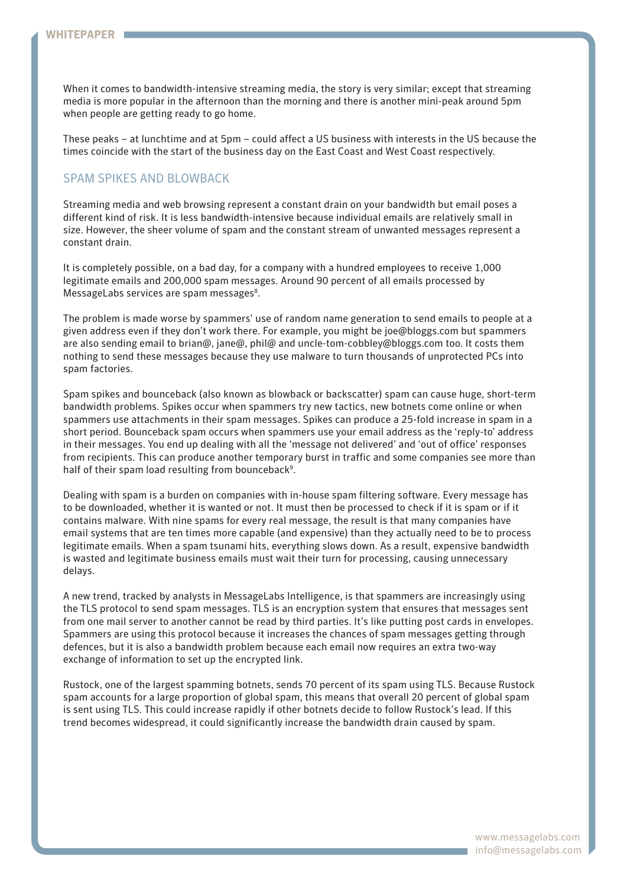When it comes to bandwidth-intensive streaming media, the story is very similar; except that streaming media is more popular in the afternoon than the morning and there is another mini-peak around 5pm when people are getting ready to go home.

These peaks – at lunchtime and at 5pm – could affect a US business with interests in the US because the times coincide with the start of the business day on the East Coast and West Coast respectively.

# Spam spikes and blowback

Streaming media and web browsing represent a constant drain on your bandwidth but email poses a different kind of risk. It is less bandwidth-intensive because individual emails are relatively small in size. However, the sheer volume of spam and the constant stream of unwanted messages represent a constant drain.

It is completely possible, on a bad day, for a company with a hundred employees to receive 1,000 legitimate emails and 200,000 spam messages. Around 90 percent of all emails processed by MessageLabs services are spam messages<sup>8</sup>.

The problem is made worse by spammers' use of random name generation to send emails to people at a given address even if they don't work there. For example, you might be joe@bloggs.com but spammers are also sending email to brian@, jane@, phil@ and uncle-tom-cobbley@bloggs.com too. It costs them nothing to send these messages because they use malware to turn thousands of unprotected PCs into spam factories.

Spam spikes and bounceback (also known as blowback or backscatter) spam can cause huge, short-term bandwidth problems. Spikes occur when spammers try new tactics, new botnets come online or when spammers use attachments in their spam messages. Spikes can produce a 25-fold increase in spam in a short period. Bounceback spam occurs when spammers use your email address as the 'reply-to' address in their messages. You end up dealing with all the 'message not delivered' and 'out of office' responses from recipients. This can produce another temporary burst in traffic and some companies see more than half of their spam load resulting from bounceback<sup>9</sup>.

Dealing with spam is a burden on companies with in-house spam filtering software. Every message has to be downloaded, whether it is wanted or not. It must then be processed to check if it is spam or if it contains malware. With nine spams for every real message, the result is that many companies have email systems that are ten times more capable (and expensive) than they actually need to be to process legitimate emails. When a spam tsunami hits, everything slows down. As a result, expensive bandwidth is wasted and legitimate business emails must wait their turn for processing, causing unnecessary delays.

A new trend, tracked by analysts in MessageLabs Intelligence, is that spammers are increasingly using the TLS protocol to send spam messages. TLS is an encryption system that ensures that messages sent from one mail server to another cannot be read by third parties. It's like putting post cards in envelopes. Spammers are using this protocol because it increases the chances of spam messages getting through defences, but it is also a bandwidth problem because each email now requires an extra two-way exchange of information to set up the encrypted link.

Rustock, one of the largest spamming botnets, sends 70 percent of its spam using TLS. Because Rustock spam accounts for a large proportion of global spam, this means that overall 20 percent of global spam is sent using TLS. This could increase rapidly if other botnets decide to follow Rustock's lead. If this trend becomes widespread, it could significantly increase the bandwidth drain caused by spam.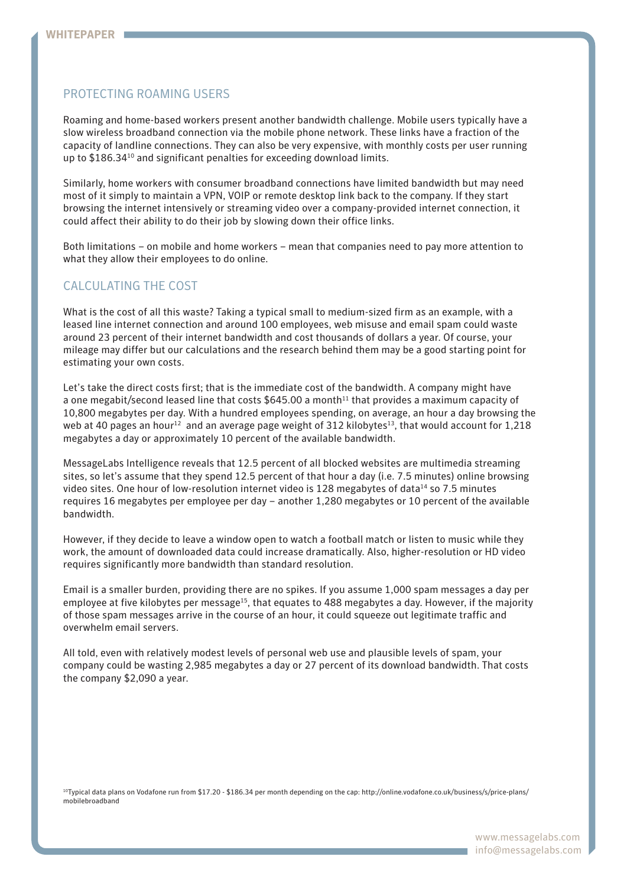## Protecting roaming users

Roaming and home-based workers present another bandwidth challenge. Mobile users typically have a slow wireless broadband connection via the mobile phone network. These links have a fraction of the capacity of landline connections. They can also be very expensive, with monthly costs per user running up to \$186.3410 and significant penalties for exceeding download limits.

Similarly, home workers with consumer broadband connections have limited bandwidth but may need most of it simply to maintain a VPN, VOIP or remote desktop link back to the company. If they start browsing the internet intensively or streaming video over a company-provided internet connection, it could affect their ability to do their job by slowing down their office links.

Both limitations – on mobile and home workers – mean that companies need to pay more attention to what they allow their employees to do online.

# Calculating the cost

What is the cost of all this waste? Taking a typical small to medium-sized firm as an example, with a leased line internet connection and around 100 employees, web misuse and email spam could waste around 23 percent of their internet bandwidth and cost thousands of dollars a year. Of course, your mileage may differ but our calculations and the research behind them may be a good starting point for estimating your own costs.

Let's take the direct costs first; that is the immediate cost of the bandwidth. A company might have a one megabit/second leased line that costs \$645.00 a month<sup>11</sup> that provides a maximum capacity of 10,800 megabytes per day. With a hundred employees spending, on average, an hour a day browsing the web at 40 pages an hour<sup>12</sup> and an average page weight of 312 kilobytes<sup>13</sup>, that would account for 1,218 megabytes a day or approximately 10 percent of the available bandwidth.

MessageLabs Intelligence reveals that 12.5 percent of all blocked websites are multimedia streaming sites, so let's assume that they spend 12.5 percent of that hour a day (i.e. 7.5 minutes) online browsing video sites. One hour of low-resolution internet video is 128 megabytes of data<sup>14</sup> so 7.5 minutes requires 16 megabytes per employee per day – another 1,280 megabytes or 10 percent of the available bandwidth.

However, if they decide to leave a window open to watch a football match or listen to music while they work, the amount of downloaded data could increase dramatically. Also, higher-resolution or HD video requires significantly more bandwidth than standard resolution.

Email is a smaller burden, providing there are no spikes. If you assume 1,000 spam messages a day per employee at five kilobytes per message<sup>15</sup>, that equates to 488 megabytes a day. However, if the majority of those spam messages arrive in the course of an hour, it could squeeze out legitimate traffic and overwhelm email servers.

All told, even with relatively modest levels of personal web use and plausible levels of spam, your company could be wasting 2,985 megabytes a day or 27 percent of its download bandwidth. That costs the company \$2,090 a year.

10Typical data plans on Vodafone run from \$17.20 - \$186.34 per month depending on the cap: http://online.vodafone.co.uk/business/s/price-plans/ mobilebroadband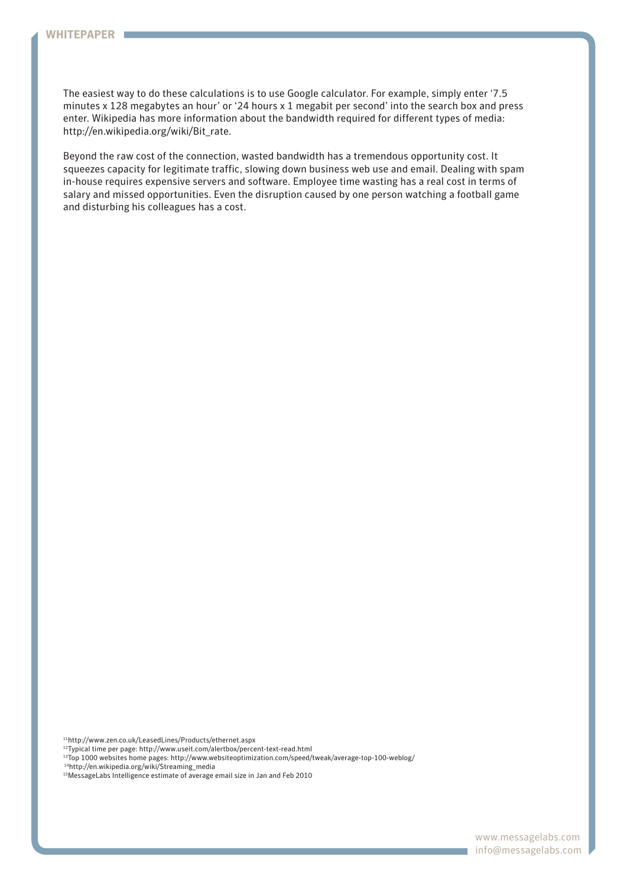The easiest way to do these calculations is to use Google calculator. For example, simply enter '7.5 minutes x 128 megabytes an hour' or '24 hours x 1 megabit per second' into the search box and press enter. Wikipedia has more information about the bandwidth required for different types of media: http://en.wikipedia.org/wiki/Bit\_rate.

Beyond the raw cost of the connection, wasted bandwidth has a tremendous opportunity cost. It squeezes capacity for legitimate traffic, slowing down business web use and email. Dealing with spam in-house requires expensive servers and software. Employee time wasting has a real cost in terms of salary and missed opportunities. Even the disruption caused by one person watching a football game and disturbing his colleagues has a cost.

11http://www.zen.co.uk/LeasedLines/Products/ethernet.aspx

12Typical time per page: http://www.useit.com/alertbox/percent-text-read.html

13Top 1000 websites home pages: http://www.websiteoptimization.com/speed/tweak/average-top-100-weblog/ 14http://en.wikipedia.org/wiki/Streaming\_media

15MessageLabs Intelligence estimate of average email size in Jan and Feb 2010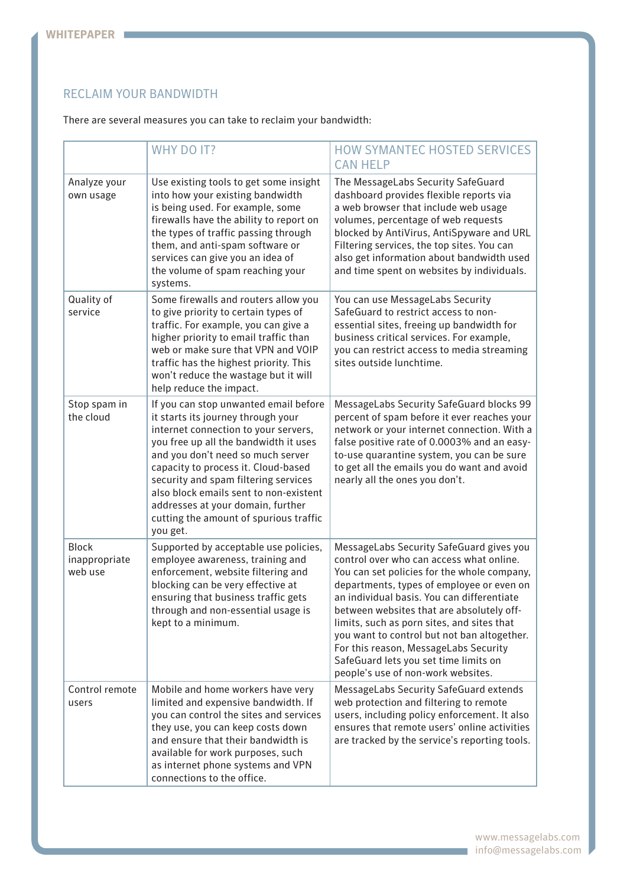# RECLAIM YOUR BANDWIDTH

There are several measures you can take to reclaim your bandwidth:

|                                          | <b>WHY DO IT?</b>                                                                                                                                                                                                                                                                                                                                                                                                     | <b>HOW SYMANTEC HOSTED SERVICES</b><br><b>CAN HELP</b>                                                                                                                                                                                                                                                                                                                                                                                                                                           |
|------------------------------------------|-----------------------------------------------------------------------------------------------------------------------------------------------------------------------------------------------------------------------------------------------------------------------------------------------------------------------------------------------------------------------------------------------------------------------|--------------------------------------------------------------------------------------------------------------------------------------------------------------------------------------------------------------------------------------------------------------------------------------------------------------------------------------------------------------------------------------------------------------------------------------------------------------------------------------------------|
| Analyze your<br>own usage                | Use existing tools to get some insight<br>into how your existing bandwidth<br>is being used. For example, some<br>firewalls have the ability to report on<br>the types of traffic passing through<br>them, and anti-spam software or<br>services can give you an idea of<br>the volume of spam reaching your<br>systems.                                                                                              | The MessageLabs Security SafeGuard<br>dashboard provides flexible reports via<br>a web browser that include web usage<br>volumes, percentage of web requests<br>blocked by AntiVirus, AntiSpyware and URL<br>Filtering services, the top sites. You can<br>also get information about bandwidth used<br>and time spent on websites by individuals.                                                                                                                                               |
| Quality of<br>service                    | Some firewalls and routers allow you<br>to give priority to certain types of<br>traffic. For example, you can give a<br>higher priority to email traffic than<br>web or make sure that VPN and VOIP<br>traffic has the highest priority. This<br>won't reduce the wastage but it will<br>help reduce the impact.                                                                                                      | You can use MessageLabs Security<br>SafeGuard to restrict access to non-<br>essential sites, freeing up bandwidth for<br>business critical services. For example,<br>you can restrict access to media streaming<br>sites outside lunchtime.                                                                                                                                                                                                                                                      |
| Stop spam in<br>the cloud                | If you can stop unwanted email before<br>it starts its journey through your<br>internet connection to your servers,<br>you free up all the bandwidth it uses<br>and you don't need so much server<br>capacity to process it. Cloud-based<br>security and spam filtering services<br>also block emails sent to non-existent<br>addresses at your domain, further<br>cutting the amount of spurious traffic<br>you get. | MessageLabs Security SafeGuard blocks 99<br>percent of spam before it ever reaches your<br>network or your internet connection. With a<br>false positive rate of 0.0003% and an easy-<br>to-use quarantine system, you can be sure<br>to get all the emails you do want and avoid<br>nearly all the ones you don't.                                                                                                                                                                              |
| <b>Block</b><br>inappropriate<br>web use | Supported by acceptable use policies,<br>employee awareness, training and<br>enforcement, website filtering and<br>blocking can be very effective at<br>ensuring that business traffic gets<br>through and non-essential usage is<br>kept to a minimum.                                                                                                                                                               | MessageLabs Security SafeGuard gives you<br>control over who can access what online.<br>You can set policies for the whole company,<br>departments, types of employee or even on<br>an individual basis. You can differentiate<br>between websites that are absolutely off-<br>limits, such as porn sites, and sites that<br>you want to control but not ban altogether.<br>For this reason, MessageLabs Security<br>SafeGuard lets you set time limits on<br>people's use of non-work websites. |
| Control remote<br>users                  | Mobile and home workers have very<br>limited and expensive bandwidth. If<br>you can control the sites and services<br>they use, you can keep costs down<br>and ensure that their bandwidth is<br>available for work purposes, such<br>as internet phone systems and VPN<br>connections to the office.                                                                                                                 | MessageLabs Security SafeGuard extends<br>web protection and filtering to remote<br>users, including policy enforcement. It also<br>ensures that remote users' online activities<br>are tracked by the service's reporting tools.                                                                                                                                                                                                                                                                |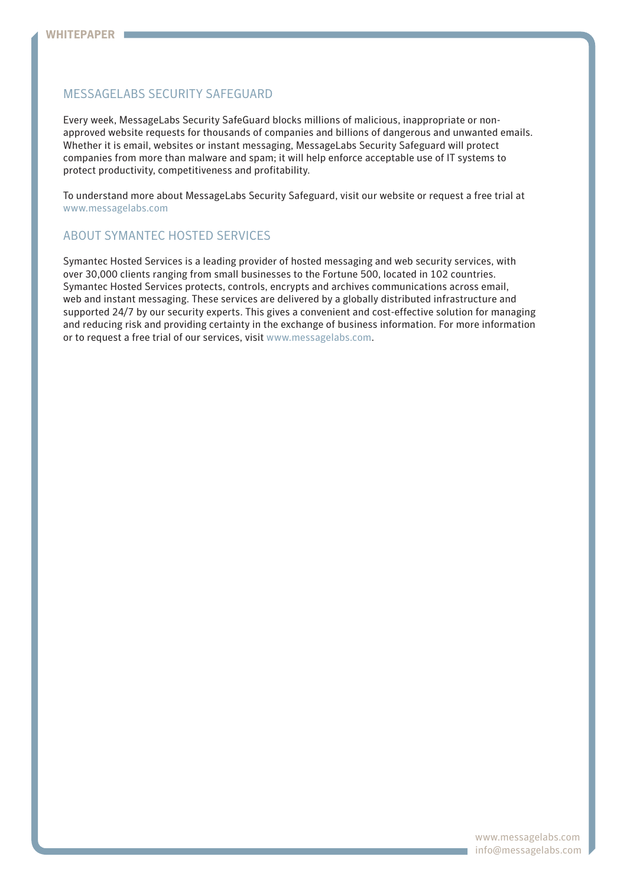# MessageLabs Security SafeGuard

Every week, MessageLabs Security SafeGuard blocks millions of malicious, inappropriate or nonapproved website requests for thousands of companies and billions of dangerous and unwanted emails. Whether it is email, websites or instant messaging, MessageLabs Security Safeguard will protect companies from more than malware and spam; it will help enforce acceptable use of IT systems to protect productivity, competitiveness and profitability.

To understand more about MessageLabs Security Safeguard, visit our website or request a free trial at www.messagelabs.com

# About Symantec Hosted Services

Symantec Hosted Services is a leading provider of hosted messaging and web security services, with over 30,000 clients ranging from small businesses to the Fortune 500, located in 102 countries. Symantec Hosted Services protects, controls, encrypts and archives communications across email, web and instant messaging. These services are delivered by a globally distributed infrastructure and supported 24/7 by our security experts. This gives a convenient and cost-effective solution for managing and reducing risk and providing certainty in the exchange of business information. For more information or to request a free trial of our services, visit www.messagelabs.com.